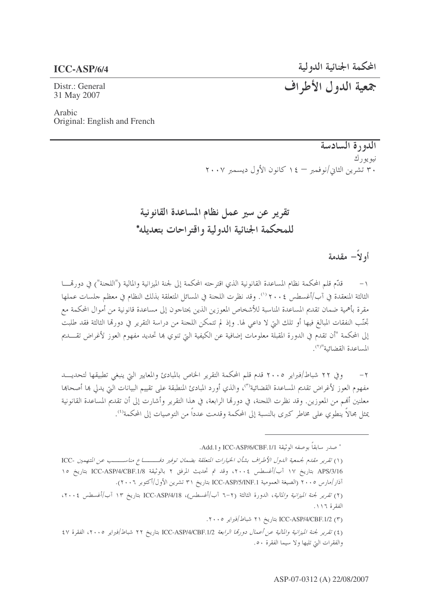#### **ICC-ASP/6/4**

المحكمة الجنائية الدولية

Distr.: General 31 May 2007

جمعية الدول الأطراف

Arabic Original: English and French

> الدورة السادسة نيويورك ٣٠ تشرين الثاني/نوفمبر - ١٤ كانون الأول ديسمبر ٢٠٠٧

تقرير عن سير عمل نظام المساعدة القانونية للمحكمة الجنائية الدولية واقتراحات بتعديله\*

أو لاً— مقدمة

قدَّم قلم المحكمة نظام المساعدة القانونية الذي اقترحته المحكمة إلى لجنة الميزانية والمالية ("اللجنة") في دورتمسا الثالثة المنعقدة في آب/أغسطس ٢٠٠٤ (''). وقد نظرت اللجنة في المسائل المتعلقة بذلك النظام في معظم جلسات عملها مقرة بأهمية ضمان تقديم المساعدة المناسبة للأشخاص المعوزين الذين يحتاجون إلى مساعدة قانونية من أموال المحكمة مع تِحَنَّبِ النفقات المبالغ فيها أو تلك التي لا داعي لها. وإذ لم تتمكن اللجنة من دراسة التقرير في دورها الثالثة فقد طلبت إلى المحكمة "أن تقدم في الدورة المقبلة معلومات إضافية عن الكيفية التي تنوي بما تحديد مفهوم العوز لأغراض تقـــديم المساعدة القضائية"(٢)

وفي ٢٢ شباط/فبراير ٢٠٠٥ قدم قلم المحكمة التقرير الخاص بالمبادئ والمعايير التي ينبغي تطبيقها لتحديب  $-7$ مفهوم العوز لأغراض تقديم المساعدة القضائية<sup>(٣)</sup>، والذي أورد المبادئ المنطبقة على تقييم البيانات التي يدلي بما أصحابما معلنين أُهُم من المعوزين. وقد نظرت اللجنة، في دورهّا الرابعة، في هذا التقرير وأشارت إلى أن تقديم المساعدة القانونية يمثل محالًا ينطوي على مخاطر كبرى بالنسبة إلى المحكمة وقدمت عدداً من التوصيات إلى المحكمة'''.

\* صدر سابقاً بوصفه الوثيقة ICC-ASP/6/CBF.1/1 و Add.1.

(١) تقرير مقدم لجمعية الدول الأطراف بشأن الخيارات المتعلقة بضمان توفير دفـــــــاع مناســــب عن المتهمين -ICC APS/3/16 بتاريخ ١٧ آب/أغسطس ٢٠٠٤، وقد تم تحديث المرفق ٢ بالوثيقة ICC-ASP/4/CBF.1/8 بتاريخ ١٥ آذار/مارس ٢٠٠٥ (الصيغة العمومية ICC-ASP/5/INF.1 بتاريخ ٣١ تشرين الأول/أكتوبر ٢٠٠٦).

(٢) *تقرير لجنة الميزانية والمالية*، الدورة الثالثة (٢-٦ آب/أغسطس)، ICC-ASP/4/18 بتاريخ ١٣ آب/أغسطس ٢٠٠٤، الفقرة ١١٦.

(٣) ICC-ASP/4/CBF.1/2 بتاريخ ٢١ شباط/فيراير ٢٠٠٥.

(٤) تقرير لجنة الميزانية والمالية عن أعمال دورتما الرابعة ICC-ASP/4/CBF.1/2 بتاريخ ٢٢ شباط/فبراير ٢٠٠٥، الفقرة ٤٧ والفقرات التي تليها ولا سيما الفقرة ٥٠.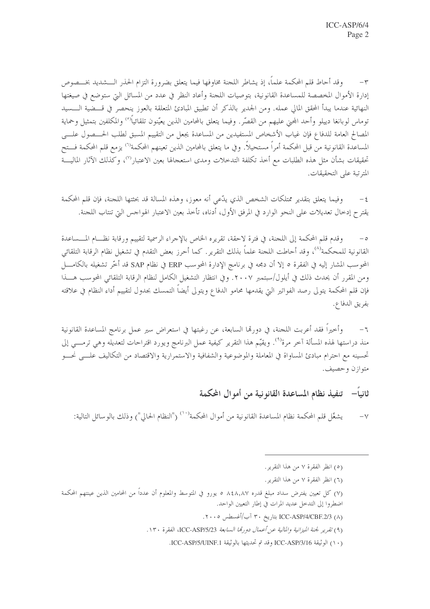٣– وقد أحاط قلم المحكمة علماً، إذ يشاطر اللجنة مخاوفها فيما يتعلق بضرورة التزام الحذر الــــشديد بخــــصوص إدارة الأموال المخصصة للمساعدة القانونية، بتوصيات اللحنة وأعاد النظر في عدد من المسائل التي ستوضع في صيغتها النهائية عندما يبدأ المحقق المالي عمله. ومن الجدير بالذكر أن تطبيق المبادئ المتعلقة بالعوز ينحصر في قـــضية الـــسيد توماس لوبانغا دييلو وأحد المحنى عليهم من القصّر. وفيما يتعلق بالمحامين الذين يعيّنون تلقائياً<sup>(٥)</sup> والمكلفين بتمثيل وحماية المصالح العامة للدفاع فإن غياب الأشخاص المستفيدين من المساعدة يجعل من التقييم المسبق لطلب الحـــصول علــــى المساعدة القانونية من قبل المحكمة أمراً مستحيلاً. وفي ما يتعلق بالمحامين الذين تعينهم المحكمة<sup>(٦)</sup> يزمع قلم المحكمة فـــتح تحقيقات بشأن مثل هذه الطلبات مع أخذ تكلفة التدخلات ومدى استعجالها بعين الاعتبار™، وكذلك الآثار الماليـــة المترتبة على التحقيقات.

وفيما يتعلق بتقدير ممتلكات الشخص الذي يدّعي أنه معوز، وهذه المسالة قد بحثتها اللجنة، فإن قلم المحكمة  $-\xi$ يقترح إدخال تعديلات على النحو الوارد في المرفق الأول، أدناه، تأخذ بعين الاعتبار الهواحس التي تنتاب اللجنة.

وقدم قلم المحكمة إلى اللجنة، في فترة لاحقة، تقريره الخاص بالإجراء الرسمية لتقييم ورقابة نظــام المـــساعدة  $-\circ$ القانونية للمحكمة<sup>(٨)</sup>، وقد أحاطت اللجنة علماً بذلك التقرير. كما أحرز بعض التقدم في تشغيل نظام الرقابة التلقائ<sub>ي</sub> المحوسب المشار إليه في الفقرة ٥ إلا أن دمجه في برنامج الإدارة المحوسب ERP في نظام SAP قد أخَّر تشغيله بالكامـــل ومن المقرر أن يحدث ذلك في أيلول/سبتمبر ٢٠٠٧. وفي انتظار التشغيل الكامل لنظام الرقابة التلقائي المحوسب هـــذا فإن قلم المحكمة يتولى رصد الفواتير التي يقدمها محامو الدفاع ويتولى أيضاً التمسك بجدول لتقييم أداء النظام في علاقته بفريق الدفاع.

وأخيراً فقد أعربت اللجنة، في دورها السابعة، عن رغبتها في استعراض سير عمل برنامج المساعدة القانونية  $-7$ منذ دراستها لهذه المسألة آخر مرة<sup>٩)</sup>. ويقيّم هذا التقرير كيفية عمل البرنامج ويورد اقتراحات لتعديله وهي ترمـــي إلى تحسينه مع احترام مبادئ المساواة في المعاملة والموضوعية والشفافية والاستمرارية والاقتصاد من التكاليف علـــي نحـــو متوازن وحصيف.

#### ثانياً— تنفيذ نظام المساعدة القانو نية من أمو ال المحكمة

يشغّل قلم المحكمة نظام المساعدة القانونية من أموال المحكمة<sup>(١٠)</sup> ("النظام الحالي") وذلك بالوسائل التالية:  $-\vee$ 

- (٥) انظر الفقرة ٧ من هذا التقرير.
- (٦) انظر الفقرة ٧ من هذا التقرير.

- ICC-ASP/4/CBF.2/3 (۸) بتاريخ ۳۰ آب/أغسطس ۲۰۰۵.
- (٩) تقرير لجنة الميزانية والمالية عن أعمال دورتما السابعة ICC-ASP/5/23، الفقرة ١٣٠.
	- (١٠) الوثيقة ICC-ASP/3/16 وقد تم تحديثها بالوثيقة ICC-ASP/5/UINF.1.

<sup>(</sup>٧) كل تعيين يفترض سداد مبلغ قدره ٨٤٨,٨٧ ٥ يورو في المتوسط والمعلوم أن عدداً من المحامين الذين عينتهم المحكمة اضطروا إلى التدحل عديد المرات في إطار التعيين الواحد.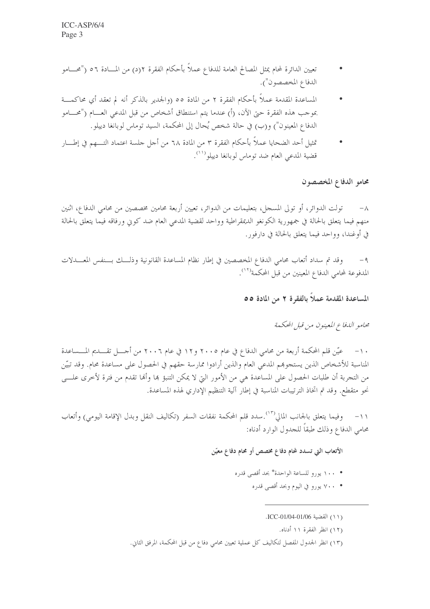- تعيين الدائرة لمحام يمثل المصالح العامة للدفاع عملاً بأحكام الفقرة ٢(د) من المـــادة ٥٦ ("محــــامو الدفاع المخصصون").
- المساعدة المقدمة عملاً بأحكام الفقرة ٢ من المادة ٥٥ (والجدير بالذكر أنه لم تعقد أي محاكمـــة بموجب هذه الفقرة حتى الآن، (أ) عندما يتم استنطاق أشخاص من قبل المدعى العـــام ("محـــامو الدفاع المعينون") و(ب) في حالة شخص يُحال إلى المحكمة، السيد توماس لوبانغا دييلو.
- تمثيل أحد الضحايا عملاً بأحكام الفقرة ٣ من المادة ٦٨ من أجل حلسة اعتماد التــــهم في إطــــار قضية المدعى العام ضد توماس لوبانغا دييلو<sup>(١١)</sup>.

#### محامو الدفاع المخصصون

تولت الدوائر، أو تولى المسجل، بتعليمات من الدوائر، تعيين أربعة محامين مخصصين من محامي الدفاع، اثنين منهم فيما يتعلق بالحالة في جمهورية الكونغو الديمقراطية وواحد لقضية المدعى العام ضد كويي ورفاقه فيما يتعلق بالحالة في أوغندا، وواحد فيما يتعلق بالحالة في دارفور .

وقد تم سداد أتعاب محامى الدفاع المخصصين في إطار نظام المساعدة القانونية وذلـلك بــنفس المعـــدلات  $-9$ المدفوعة لمحامى الدفاع المعينين من قبل المحكمة<sup>(١٢)</sup>.

المساعدة المقدمة عملاً بالفقرة ٢ من المادة ٥٥

محامو الليفاع المعينون من قبل المحكمة

عيّن قلم المحكمة أربعة من محامي الدفاع في عام ٢٠٠٥ و١٢ في عام ٢٠٠٦ من أحـــل تقــــديم المــــساعدة  $-1$ المناسبة للأشخاص الذين يستجوهم المدعى العام والذين أرادوا ممارسة حقهم في الحصول على مساعدة محام. وقد تبيّن من التجربة أن طلبات الحصول على المساعدة هي من الأمور التي لا يمكن التنبؤ ها وألها تقدم من فترة لأخرى علــــى نحو متقطع. وقد تم اتخاذ الترتيبات المناسبة في إطار آلية التنظيم الإداري لهذه المساعدة.

١١– وفيما يتعلق بالجانب المالي<sup>(١٣)</sup>.سدد قلم المحكمة نفقات السفر (تكاليف النقل وبدل الإقامة اليومي) وأتعاب محامى الدفاع وذلك طبقاً للجدول الوارد أدناه:

الأتعاب التي تسدد لمحام دفاع مخصص أو محام دفاع معيّن

- ١٠٠ يورو للساعة الواحدة\* بحد أقصى قدره
	- ٧٠٠ يورو في اليوم وبحد أقصى قدره

(١١) القضية ICC-01/04-01/06.

- (١٢) انظر الفقرة ١١ أدناه.
- (١٣) انظر الجدول المفصل لتكاليف كل عملية تعيين محامي دفاع من قبل المحكمة، المرفق الثاني.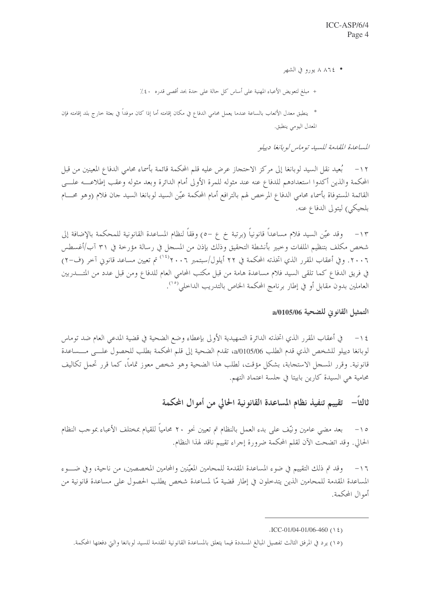• ٨ ٨٦٤ يورو في الشهر

- + مبلغ لتعويض الأعباء المهنية على أساس كل حالة على حدة بحد أقصى قدره ٤٠٪
- \* ينطبق معدل الأتعاب بالساعة عندما يعمل محامى الدفاع في مكان إقامته أما إذا كان موفداً في بعثة خارج بلد إقامته فإن المعدل اليومي ينطبق.

المساعدة المقدمة للسيد توماس لو بانغا دييلو

١٢ – بُعيد نقل السيد لوبانغا إلى مركز الاحتجاز عرض عليه قلم المحكمة قائمة بأسماء محامى الدفاع المعينين من قبل المحكمة والذين أكدوا استعدادهم للدفاع عنه عند مثوله للمرة الأولى أمام الدائرة وبعد مثوله وعقب إطلاعــــه علـــي القائمة المستوفاة بأسماء محامى الدفاع المرخص لهم بالترافع أمام المحكمة عيّن السيد لوبانغا السيد حان فلام (وهو محسام بلجيكي) ليتولى الدفاع عنه.

١٣ – وقد عيّن السيد فلام مساعداً قانونياً (برتبة خ ع –٥) وفقاً لنظام المساعدة القانونية للمحكمة بالإضافة إلى شخص مكلف بتنظيم الملفات وحبير بأنشطة التحقيق وذلك بإذن من المسحل في رسالة مؤرخة في ٣١ آب/أغسطس ٢٠٠٦. وفي أعقاب المقرر الذي اتخذته المحكمة في ٢٢ أيلول/سبتمبر ٢٠٠٦°، تم تعيين مساعد قانوني آخر (ف-٢) في فريق الدفاع كما تلقى السيد فلام مساعدة هامة من قبل مكتب المحامي العام للدفاع ومن قبل عدد من المتــــدربين العاملين بدون مقابل أو في إطار برنامج المحكمة الخاص بالتدريب الداخلي<sup>(° ١</sup>).

التمثيل القانوني للضحية a/0105/06

١٤ – في أعقاب المقرر الذي اتخذته الدائرة التمهيدية الأولى بإعطاء وضع الضحية في قضية المدعى العام ضد توماس لوبانغا دييلو للشخص الذي قدم الطلب 2/0105/06، تقدم الضحية إلى قلم المحكمة بطلب للحصول علـــي مــــساعدة قانونية. وقرر المسجل الاستجابة، بشكل مؤقت، لطلب هذا الضحية وهو شخص معوز تماماً، كما قرر تحمل تكاليف محامية هي السيدة كارين بابيتا في حلسة اعتماد التهم.

ثالثاً– تقييم تنفيذ نظام المساعدة القانونية الحالي من أموال المحكمة

بعد مضي عامين ونيّف على بدء العمل بالنظام تم تعيين نحو ٢٠ محامياً للقيام بمختلف الأعباء بموجب النظام  $-\iota$ الحالي. وقد اتضحت الآن لقلم المحكمة ضرورة إجراء تقييم ناقد لهذا النظام.

١٦ - وقد تم ذلك التقييم في ضوء المساعدة المقدمة للمحامين المعيّنين والمحامين المخصصين، من ناحية، وفي ضــــوء المساعدة المقدمة للمحامين الذين يتدخلون في إطار قضية مّا لمساعدة شخص يطلب الحصول على مساعدة قانونية من أموال المحكمة.

 $\text{ICC-01}/04 - 01}/06 - 460$  ()  $\xi$ )

<sup>(</sup>١٥) يرد في المرفق الثالث تفصيل المبالغ المسددة فيما يتعلق بالمساعدة القانونية المقدمة للسيد لوبانغا والتي دفعتها المحكمة.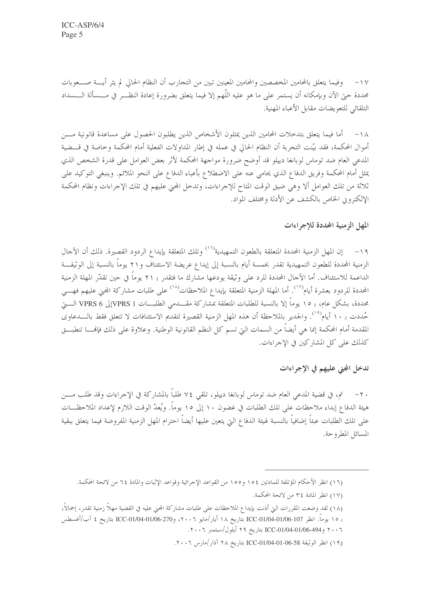١٧− وفيما يتعلق بالمحامين المخصصين والمحامين المعينين تبين من التحارب أن النظام الحالي لم يثر أيــــة صــــعوبات محددة حتى الآن وبإمكانه أن يستمر على ما هو عليه اللَّهم إلا فيما يتعلق بضرورة إعادة النظـــر في مــــسألة الــــسداد التلقائي للتعويضات مقابل الأعباء المهنية.

١٨ – أما فيما يتعلق بتدخلات المحامين الذين يمثلون الأشخاص الذين يطلبون الحصول على مساعدة قانونية مـــن أموال المحكمة، فقد بيّنت التجربة أن النظام الحالي في عمله في إطار المداولات الفعلية أمام المحكمة وخاصة في قـــضية المدعى العام ضد توماس لوبانغا دييلو قد أوضح ضرورة مواجهة المحكمة لأثر بعض العوامل على قدرة الشخص الذي يمثل أمام المحكمة وفريق الدفاع الذي يحامى عنه على الاضطلاع بأعباء الدفاع على النحو الملائم. وينبغي التوكيد على ثلاثة من تلك العوامل ألا وهي ضيق الوقت المتاح للإجراءات، وتدخل المجني عليهم في تلك الإجراءات ونظام المحكمة الإلكتروين الخاص بالكشف عن الأدلة ومختلف المواد.

#### المهل الزمنية المحددة للإجراءات

١٩ – إن المهل الزمنية المحددة المتعلقة بالطعون التمهيدية<sup>(١٦)</sup> وتلك المتعلقة بإيداع الردود القصيرة. ذلك أن الآحال الزمنية المحددة للطعون التمهيدية تقدر بخمسة أيام بالنسبة إلى إيداع عريضة الاستئناف و٢١ يوماً بالنسبة إلى الوثيقـــة الداعمة للاستئناف. أما الآجال المحددة للرد على وثيقة يودعها مشارك ما فتقدر بـ ٢١ يوماً في حين تقدّر المهلة الزمنية المحددة للردود بعشرة أيام<sup>(١٧</sup>). أما المهلة الزمنية المتعلقة بإيداع الملاحظات<sup>(١٨)</sup> على طلبات مشاركة المحنى عليهم فهـــي محددة، بشكل عام، بـ ١٥ يوماً إلا بالنسبة للطلبات المتعلقة بمشاركة مقـــــدمي الطلبــــات VPRS 1 لا VPRS 6 الــــيّ حُددت بـ ١٠ أيام'``. والجدير بالملاحظة أن هذه المهل الزمنية القصيرة لتقديم الاستئنافات لا تتعلق فقط بالــــدعاوى المقدمة أمام المحكمة إنما هي أيضاً من السمات التي تسم كل النظم القانونية الوطنية. وعلاوة على ذلك فإفحا تنطبتي كذلك على كل المشاركين في الإجراءات.

#### تدخل المجنى عليهم في الإجراءات

٢٠ – تم، في قضية المدعى العام ضد توماس لوبانغا دييلو، تلقى ٧٤ طلبًا بالمشاركة في الإجراءات وقد طلب مـــن هيئة الدفاع إبداء ملاحظات على تلك الطلبات في غضون ١٠ إلى ١٥ يوماً. ويُعدّ الوقت اللازم لإعداد الملاحظـــات على تلك الطلبات عبئاً إضافياً بالنسبة لهيئة الدفاع التي يتعين عليها أيضاً احترام المهل الزمنية المفروضة فيما يتعلق ببقية المسائل المطروحة.

٢٠٠٦ و ICC-01/04-01/06-494 بتاريخ ٢٩ أيلول/سبتمبر ٢٠٠٦.

<sup>(</sup>١٦) انظر الأحكام المؤتلفة للمادتين ١٥٤ و١٥٥ من القواعد الإجرائية وقواعد الإثبات والمادة ٦٤ من لائحة المحكمة.

<sup>(</sup>١٧) انظر المادة ٣٤ من لائحة المحكمة.

<sup>(</sup>١٨) لقد وضعت المقررات التيّ أذنت بإيداع الملاحظات على طلبات مشاركة المجني عليه في القضية مهلاً زمنية تقدر، إجمالاً،

بـ ١٥ يوماً. انظر ICC-01/04-01/06-107 بتاريخ ١٨ أيار/مايو ٢٠٠٦، وICC-01/04-01/06-270 بتاريخ ٤ آب/أغسطس

<sup>(</sup>١٩) انظر الوثيقة 58-06-01-04-100-201 بتاريخ ٢٨ آذار/مارس ٢٠٠٦.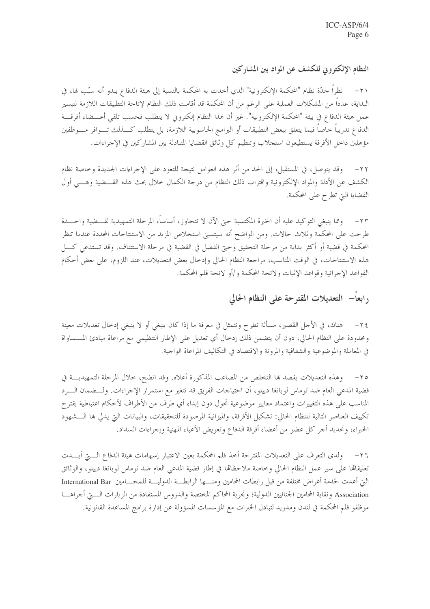النظام الإلكتروني للكشف عن المواد بين المشاركين

نظراً لحدّة نظام "المحكمة الإلكترونية" الذي أخذت به المحكمة بالنسبة إلى هيئة الدفاع يبدو أنه سبّب لها، في  $-\tau$ البداية، عدداً من المشكلات العملية على الرغم من أن المحكمة قد أقامت ذلك النظام لإتاحة التطبيقات اللازمة لتيسير عمل هيئة الدفاع في بيئة "المحكمة الإلكترونية". غير أن هذا النظام إلكتروني لا يتطلب فحسب تلقى أعـــضاء أفرقـــة الدفاع تدريبا خاصا فيما يتعلق ببعض التطبيقات أو البرامج الحاسوبية اللازمة، بل يتطلب كـــذلك تــــوافر مــــوظفين مؤهلين داخل الأفرقة يستطيعون استجلاب وتنظيم كل وثائق القضايا المتبادلة بين المشاركين في الإحراءات.

وقد يتوصل، في المستقبل، إلى الحد من أثر هذه العوامل نتيجة للتعود على الإحراءات الجديدة وحاصة نظام  $-77$ الكشف عن الأدلة والمواد الإلكترونية واقتراب ذلك النظام من درجة الكمال خلال بحث هذه القـــضية وهـــى أول القضايا التي تطرح على المحكمة.

٢٣– ومما ينبغي التوكيد عليه أن الخبرة المكتسبة حتى الآن لا تتجاوز، أساساً، المرحلة التمهيدية لقـــضية واحـــدة طرحت على المحكمة وثلاث حالات. ومن الواضح أنه سيتسنى استخلاص المزيد من الاستنتاجات المحددة عندما تنظر المحكمة في قضية أو أكثر بداية من مرحلة التحقيق وحتى الفصل في القضية في مرحلة الاستئناف. وقد تستدعي كــــل هذه الاستنتاجات، في الوقت المناسب، مراجعة النظام الحالي وإدخال بعض التعديلات، عند اللزوم، على بعض أحكام القواعد الإجرائية وقواعد الإثبات ولائحة المحكمة و/أو لائحة قلم المحكمة.

### رابعاً– التعديلات المقتوحة على النظام الحالي

٢٤ – هناك، في الأجل القصير، مسألة تطرح وتتمثل في معرفة ما إذا كان ينبغي أو لا ينبغي إدخال تعديلات معينة ومحدودة على النظام الحالي، دون أن يتضمن ذلك إدحال أي تعديل على الإطار التنظيمي مع مراعاة مبادئ المسساواة في المعاملة والموضوعية والشفافية والمرونة والاقتصاد في التكاليف المراعاة الواجبة.

٢٥– وهذه التعديلات يقصد ها التخلص من المصاعب المذكورة أعلاه. وقد اتضح، خلال المرحلة التمهيديـــة في قضية المدعى العام ضد توماس لوبانغا دييلو، أن احتياحات الفريق قد تتغير مع استمرار الإحراءات. ولـــضمان الــــرد المناسب على هذه التغييرات واعتماد معايير موضوعية تحول دون إبداء أي طرف من الأطراف لأحكام اعتباطية يقترح تكييف العناصر التالية للنظام الحالي: تشكيل الأفرقة، والميزانية المرصودة للتحقيقات، والبيانات التي يدلي بما الـــشهود الخبراء، وتحديد أحر كل عضو من أعضاء أفرقة الدفاع وتعويض الأعباء المهنية وإحراءات السداد.

٢٦– ولدى التعرف على التعديلات المقترحة أخذ قلم المحكمة بعين الاعتبار إسهامات هيئة الدفاع الــــتي أبــــدت تعليقالها على سير عمل النظام الحالي وحاصة ملاحظاها في إطار قضية المدعى العام ضد توماس لوبانغا دييلو، والوثائق التيّ أعدت لخدمة أغراض مختلفة من قبل رابطات المحامين ومنــــها الرابطـــة الدوليــــة للمحـــــامين International Bar Association ونقابة المحامين الجنائيين الدولية؛ وتجربة المحاكم المختصة والدروس المستفادة من الزيارات السيق أجراهــا موظفو قلم المحكمة في لندن ومدريد لتبادل الخبرات مع المؤسسات المسؤولة عن إدارة برامج المساعدة القانونية.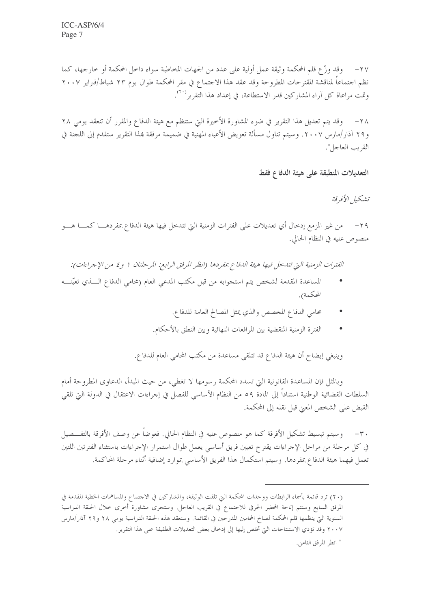٢٧– وقد وزَّع قلم المحكمة وثيقة عمل أولية على عدد من الجهات المخاطبة سواء داخل المحكمة أو خارجها، كما نظم احتماعاً لمناقشة المقترحات المطروحة وقد عقد هذا الاحتماع في مقر المحكمة طوال يوم ٢٣ شباط/فبراير ٢٠٠٧ وتمت مراعاة كل آراء المشاركين قدر الاستطاعة، في إعداد هذا التقرير```.

وقد يتم تعديل هذا التقرير في ضوء المشاورة الأخيرة التي ستنظم مع هيئة الدفاع والمقرر أن تنعقد يومي ٢٨  $-\tau \wedge$ و٢٩ آذار/مارس ٢٠٠٧. وسيتم تناول مسألة تعويض الأعباء المهنية في ضميمة مرفقة بمذا التقرير ستقدم إلى اللجنة في القريب العاجل\*.

التعديلات المنطبقة على هيئة الدفاع فقط

تشكيل الأفرقة

٢٩ – من غير المزمع إدخال أي تعديلات على الفترات الزمنية التي تتدخل فيها هيئة الدفاع بمفردهــــا كمــــا هــــو منصوص عليه في النظام الحالي.

الفترات الزمنية التي تتدخل فيها هيئة الدفاع بمفردها (انظر المرفق الرابع: المرحلتان ١ و٤ من الإجراءات):

- المساعدة المقدمة لشخص يتم استجوابه من قبل مكتب المدعي العام (محامي الدفاع الــــذي تعيّنـــــه المحكمة).
	- محامي الدفاع المخصص والذي يمثل المصالح العامة للدفاع.
	- الفترة الزمنية المنقضية بين المرافعات النهائية وبين النطق بالأحكام.

وينبغي إيضاح أن هيئة الدفاع قد تتلقى مساعدة من مكتب المحامي العام للدفاع.

وبالمثل فإن المساعدة القانونية التي تسدد المحكمة رسومها لا تغطي، من حيث المبدأ، الدعاوي المطروحة أمام السلطات القضائية الوطنية استناداً إلى المادة ٥٩ من النظام الأساسي للفصل في إجراءات الاعتقال في الدولة التي تلقي القبض على الشخص المعنى قبل نقله إلى المحكمة.

٣٠ – وسيتم تبسيط تشكيل الأفرقة كما هو منصوص عليه في النظام الحالي. فعوضاً عن وصف الأفرقة بالتفـــصيل في كل مرحلة من مراحل الإجراءات يقترح تعيين فريق أساسي يعمل طوال استمرار الإجراءات باستثناء الفترتين اللتين تعمل فيهما هيئة الدفاع بمفردها. وسيتم استكمال هذا الفريق الأساسي بموارد إضافية أثناء مرحلة المحاكمة.

<sup>(</sup>٢٠) ترد قائمة بأسماء الرابطات ووحدات المحكمة التي تلقت الوثيقة، والمشاركين في الاجتماع والمساهمات الخطية المقدمة في المرفق السابع وستتم إتاحة المحضر الحرفي للاحتماع في القريب العاجل. وستجرى مشاورة أخرى خلال الحلقة الدراسية السنوية التي ينظمها قلم المحكمة لصالح المحامين المدرجين في القائمة. وستعقد هذه الحلقة الدراسية يومي ٢٨ و٢٩ آذار/مارس ٢٠٠٧ وقد تؤدي الاستنتاجات التي تخلص إليها إلى إدخال بعض التعديلات الطفيفة على هذا التقرير.

<sup>\*</sup> انظر المرفق الثامن.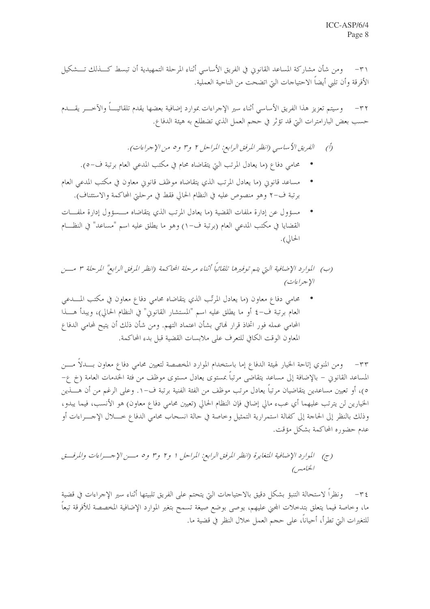٣١– ومن شأن مشاركة المساعد القانوني في الفريق الأساسي أثناء المرحلة التمهيدية أن تبسط كـــذلك تـــشكيل الأفرقة وأن تلبي أيضاً الاحتياحات التي اتضحت من الناحية العملية.

وسيتم تعزيز هذا الفريق الأساسي أثناء سير الإحراءات بموارد إضافية بعضها يقدم تلقائيــــاً والآخــــر يقــــدم  $-\tau \tau$ حسب بعض البارامترات التي قد تؤثر في حجم العمل الذي تضطلع به هيئة الدفاع.

- الفريق الأساسي (انظر المرفق الرابع: المراحل ٢ و٣ و٥ من الإجراءات).  $\hat{O}$
- محامي دفاع (ما يعادل المرتب التي يتقاضاه محام في مكتب المدعي العام برتبة ف–٥).
- مساعد قانويي (ما يعادل المرتب الذي يتقاضاه موظف قانوي معاون في مكتب المدعى العام برتبة ف-٢ وهو منصوص عليه في النظام الحالي فقط في مرحلتي المحاكمة والاستئناف).
- مسؤول عن إدارة ملفات القضية (ما يعادل المرتب الذي يتقاضاه مـــسؤول إدارة ملفـــات القضايا في مكتب المدعى العام (برتبة ف−١) وهو ما يطلق عليه اسم "مساعد" في النظـــام الحالي).

(ب) الموارد الإضافية التي يتم توفيرها تلقائياً أثناء مرحلة المحاكمة (انظر المرفق الرابع" المرحلة ٣ مسن الإجراءات)

محامي دفاع معاون (ما يعادل المرتَّب الذي يتقاضاه محامى دفاع معاون في مكتب المــــدعى العام برتبة ف-٤ أو ما يطلق عليه اسم "المستشار القانوين" في النظام الحالي)، ويبدأ هـــذا المحامي عمله فور اتخاذ قرار لهائي بشأن اعتماد التهم. ومن شأن ذلك أن يتيح لمحامي الدفاع المعاون الوقت الكافي للتعرف على ملابسات القضية قبل بدء المحاكمة.

٣٣– ومن المنوي إتاحة الخيار لهيئة الدفاع إما باستخدام الموارد المخصصة لتعيين محامى دفاع معاون بــــدلاً مــــن المساعد القانوين – بالإضافة إلى مساعد يتقاضى مرتباً بمستوى يعادل مستوى موظف من فئة الخدمات العامة (خ ع– ٥)، أو تعيين مساعدين يتقاضيان مرتباً يعادل مرتب موظف من الفئة الفنية برتبة ف−١. وعلى الرغم من أن هــــذين الخيارين لن يترتب عليهما أي عبء مالي إضافي فإن النظام الحالي (تعيين محامي دفاع معاون) هو الأنسب، فيما يبدو، وذلك بالنظر إلى الحاجة إلى كفالة استمرارية التمثيل وخاصة في حالة انسحاب محامي الدفاع خــــلال الإحـــراءات أو عدم حضوره المحاكمة بشكل مؤقت.

(ج) للوارد الإضافية المتغايرة (انظر المرفق الرابع: المراحل ١ و٢ و٣ و٥ مسن الإحسراءات والمرفت الخاميس

٣٤– ونظراً لاستحالة التنبؤ بشكل دقيق بالاحتياحات التي يتحتم على الفريق تلبيتها أثناء سير الإجراءات في قضية ما، وخاصة فيما يتعلق بتدخلات المحنى عليهم، يوصى بوضع صيغة تسمح بتغير الموارد الإضافية المخصصة للأفرقة تبعاً للتغيرات التي تطرأ، أحياناً، على حجم العمل حلال النظر في قضية ما.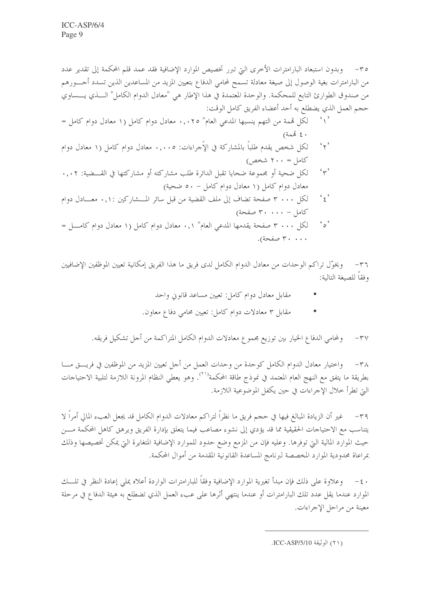٣٥– وبدون استبعاد البارامترات الأخرى التي تبرر تخصيص الموارد الإضافية فقد عمد قلم المحكمة إلى تقدير عدد من البارامترات بغية الوصول إلى صيغة معادلة تسمح لمحامي الدفاع بتعيين المزيد من المساعدين الذين تسدد أجــــورهم من صندوق الطوارئ التابع للمحكمة. والوحدة المعتمدة في هذا الإطار هي "معادل الدوام الكامل" الــــذي يــــساوي حجم العمل الذي يضطلع به أحد أعضاء الفريق كامل الوقت:

- `۱ ککل قممة من التهم ينسبها المدعى العام" ۰٫۰۲٥ معادل دوام کامل (۱ معادل دوام کامل =  $(4x\ddot{\delta})\xi$
- لكل شخص يقدم طلباً بالمشاركة في الإُجراءات: ٠,٠٠٥ معادل دوام كامل (١ معادل دوام  $\mathfrak{c}_{\gamma}$ کامل = ۲۰۰ شخص)
- $\gamma$ لكلِّ ضحية أو مجموعة ضحايا تقبل الدائرة طلب مشاركته أو مشاركتها في القـــضية: ٠,٠٢ معادل دوام كامل (١ معادل دوام كامل - ٥٠ ضحية)
- $\mathfrak{c}_{\xi}$ , لكل ٣ ٠٠٠ صفحة تضاف إلى ملف القضية من قبل سائر المسشاركين ٠,١: معــادل دوام  $\zeta = \zeta + \zeta + \zeta$  صفحة)
- $\mathfrak{c}_{\circ}$ لكل ٣٠٠٠ صفحة يقدمها المدعى العام" ٠,١ معادل دوام كامل (١ معادل دوام كامسل = ۳۰۰۰۰ صفحة).

٣٦ – ويخوِّل تراكم الوحدات من معادل الدوام الكامل لدى فريق ما هذا الفريق إمكانية تعيين الموظفين الإضافيين وفقاً للصيغة التالية:

- مقابل معادل دوام كامل: تعيين مساعد قانوين واحد
- مقابل ٣ معادلات دوام كامل: تعيين محامى دفاع معاون.

٣٧– ولمحامي الدفاع الخيار بين توزيع مجموع معادلات الدوام الكامل المتراكمة من أحل تشكيل فريقه.

٣٨ – واختيار معادل الدوام الكامل كوحدة من وحدات العمل من أجل تعيين المزيد من الموظفين في فريــــق مــــا بطريقة ما يتفق مع النهج العام المعتمد في نموذج طاقة المحكمة''''. وهو يعطي النظام المرونة اللازمة لتلبية الاحتياجات التي تطرأ خلال الإحراءات في حين يكفل الموضوعية اللازمة.

٣٩– غير أن الزيادة المبالغ فيها في حجم فريق ما نظراً لتراكم معادلات الدوام الكامل قد يجعل العبء المالي أمراً لا يتناسب مع الاحتياجات الحقيقية مما قد يؤدي إلى نشوء مصاعب فيما يتعلق بإدارة الفريق ويرهق كاهل المحكمة مـــن حيث الموارد المالية التي توفرها. وعليه فإن من المزمع وضع حدود للموارد الإضافية المتغايرة التي يمكن تخصيصها وذلك بمراعاة محدودية الموارد المخصصة لبرنامج المساعدة القانونية المقدمة من أموال المحكمة.

٤٠ – وعلاوة على ذلك فإن مبدأ تغيرية الموارد الإضافية وفقاً للبارامترات الواردة أعلاه يملي إعادة النظر في تلسك الموارد عندما يقل عدد تلك البارامترات أو عندما ينتهي أثرها على عبء العمل الذي تضطلع به هيئة الدفاع في مرحلة معينة من مراحل الإجراءات.

<sup>(</sup>٢١١) الو ثبقة ICC-ASP/5/10.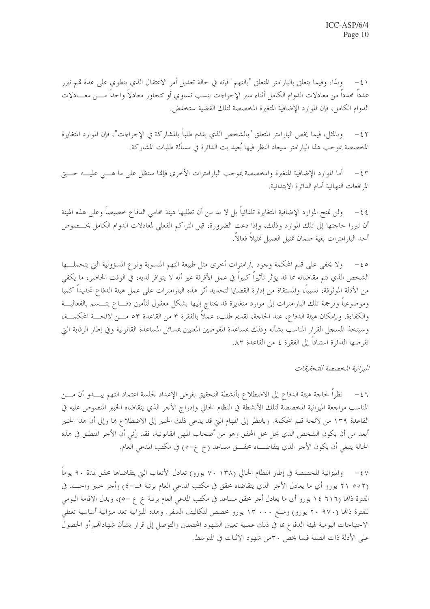٤١ – وبذا، وفيما يتعلق بالبارامتر المتعلق "بالتهم" فإنه في حالة تعديل أمر الاعتقال الذي ينطوي على عدة قمم تبرر عدداً محدداً من معادلات الدوام الكامل أثناء سير الإجراءات بنسب تساوي أو تتجاوز معادلاً واحداً مــــن معــــادلات الدوام الكامل، فإن الموارد الإضافية المتغيرة المخصصة لتلك القضية ستخفض.

وبالمثل، فيما يخص البارامتر المتعلق "بالشخص الذي يقدم طلبًا بالمشاركة في الإجراءات"، فإن الموارد المتغايرة  $-\epsilon$   $\tau$ المخصصة بموجب هذا البارامتر سيعاد النظر فيها بُعيد بت الدائرة في مسألة طلبات المشاركة.

أما الموارد الإضافية المتغيرة والمخصصة بموجب البارامترات الأخرى فإنها ستظل على ما هـــي عليـــه حـــتي  $-\xi$ المرافعات النهائية أمام الدائرة الابتدائية.

٤٤ – ولن تمنح الموارد الإضافية المتغايرة تلقائياً بل لا بد من أن تطلبها هيئة محامى الدفاع خصيصاً وعلى هذه الهيئة أن تبررا حاجتها إلى تلك الموارد وذلك، وإذا دعت الضرورة، قبل التراكم الفعلي لمعادلات الدوام الكامل بخـــصوص أحد البارامترات بغية ضمان تمثيل العميل تمثيلاً فعالاً.

6 > – ولا يخفى على قلم المحكمة وجود بارامترات أحرى مثل طبيعة التهم المنسوبة ونوع المسؤولية التي يتحملها الشخص الذي تتم مقاضاته مما قد يؤثر تأثيراً كبيراً في عمل الأفرقة غير أنه لا يتوافر لديه، في الوقت الحاضر، ما يكفى من الأدلة الموثوقة، نسبياً، والمستقاة من إدارة القضايا لتحديد أثر هذه البارامترات على عمل هيئة الدفاع تحديداً كميا وموضوعياً وترجمة تلك البارامترات إلى موارد متغايرة قد يحتاج إليها بشكل معقول لتأمين دفـــاع يتــــسم بالفعاليـــة والكفاءة. وبإمكان هيئة الدفاع، عند الحاجة، تقديم طلب، عملاً بالفقرة ٣ من القاعدة ٥٣ مــن لائحـــة المحكمـــة، وسيتخذ المسجل القرار المناسب بشأنه وذلك بمساعدة المفوضين المعنيين بمسائل المساعدة القانونية وفي إطار الرقابة البت تفرضها الدائرة استنادا إلى الفقرة ٤ من القاعدة ٨٣.

الميزانية المخصصة للتحقيقات

٤٦ – نظراً لحاجة هيئة الدفاع إلى الاضطلاع بأنشطة التحقيق بغرض الإعداد لجلسة اعتماد التهم يبــــدو أن مــــن المناسب مراجعة الميزانية المخصصة لتلك الأنشطة في النظام الحالي وإدراج الأجر الذي يتقاضاه الخبير المنصوص عليه في القاعدة ١٣٩ من لائحة قلم المحكمة. وبالنظر إلى المهام التي قد يدعى ذلك الخبير إلى الاضطلاع ها وإلى أن هذا الخبير أبعد من أن يكون الشخص الذي يحل محل المحقق وهو من أصحاب المهن القانونية، فقد رُئي أن الأحر المنطبق في هذه الحالة ينبغي أن يكون الأجر الذي يتقاضــــاه محقــــق مساعد (خ ع−٥) في مكتب المدعى العام.

٤٧ – والميزانية المخصصة في إطار النظام الحالي (١٣٨ ٧٠ يورو) تعادل الأتعاب التي يتقاضاها محقق لمدة ٩٠ يوماً (٢١ ٥٥٢ يورو أي ما يعادل الأجر الذي يتقاضاه محقق في مكتب المدعى العام برتبة ف-٤) وأجر خبير واحـــد في الفترة ذاتما (٦١٦ ١٤ يورو أي ما يعادل أجر محقق مساعد في مكتب المدعى العام برتبة خ ع –٥)، وبدل الإقامة اليومي للفترة ذاتما (٢٠ ٩٧٠ يورو) ومبلغ ١٣ ٠٠٠ يورو مخصص لتكاليف السفر. وهذه الميزانية تعد ميزانية أساسية تغطي الاحتياجات اليومية لهيئة الدفاع بما في ذلك عملية تعيين الشهود المحتملين والتوصل إلى قرار بشأن شهاداقمم أو الحصول على الأدلة ذات الصلة فيما يخص ٣٠من شهود الإثبات في المتوسط.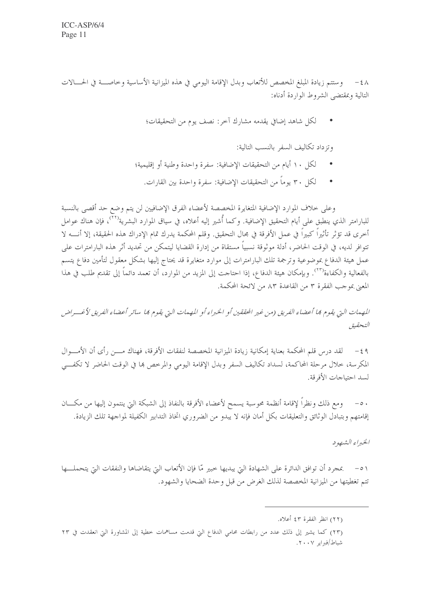٤٨ – وستتم زيادة المبلغ المخصص للأتعاب وبدل الإقامة اليومي في هذه الميزانية الأساسية وخاصــــة في الحــــالات التالية وبمقتضبي الشروط الواردة أدناه:

لكلِّ شاهد إضافي يقدمه مشارك آخر: نصف يوم من التحقيقات؛

وتزداد تكاليف السفر بالنسب التالية:

- لكل ١٠ أيام من التحقيقات الإضافية: سفرة واحدة وطنية أو إقليمية؛
	- لكل ٣٠ يوماً من التحقيقات الإضافية: سفرة واحدة بين القارات.

وعلى حلاف الموارد الإضافية المتغايرة المخصصة لأعضاء الفرق الإضافيين لن يتم وضع حد أقصى بالنسبة للبارامتر الذي ينطبق على أيام التحقيق الإضافية. وكما أُشير إليه أعلاه، في سياق الموارد البشرية''''، فإن هناك عوامل أخرى قد تؤثر تأثيراً كبيراً في عمل الأفرقة في مجال التحقيق. وقلم المحكمة يدرك تمام الإدراك هذه الحقيقة، إلا أنسه لا تتوافر لديه، في الوقت الحاضر، أدلة موثوقة نسبياً مستقاة من إدارة القضايا ليتمكن من تحديد أثر هذه البارامترات على عمل هيئة الدفاع بموضوعية وترجمة تلك البارامترات إلى موارد متغايرة قد يحتاج إليها بشكل معقول لتأمين دفاع يتسم بالفعالية والكفاءة````. وبإمكان هيئة الدفاع، إذا احتاحت إلى المزيد من الموارد، أن تعمد دائماً إلى تقديم طلب في هذا المعنى بموجب الفقرة ٣ من القاعدة ٨٣ من لائحة المحكمة.

المهمات التي يقوم ڢما أعضاء الفريق (من غير المحققين أو الخبراء أو المهمات التي يقوم ڢما سائر أعضاء الفريق لأغسراض التحقيق

٤٩ – لقد درس قلم المحكمة بعناية إمكانية زيادة الميزانية المخصصة لنفقات الأفرقة، فهناك مــــن رأى أن الأمــــوال المكرسة، حلال مرحلة المحاكمة، لسداد تكاليف السفر وبدل الإقامة اليومي والمرخص ها في الوقت الحاضر لا تكفي لسد احتياجات الأفرقة.

٥٠ – ومع ذلك ونظراً لإقامة أنظمة محوسبة يسمح لأعضاء الأفرقة بالنفاذ إلى الشبكة التي ينتمون إليها من مكـــان إقامتهم وبتبادل الوثائق والتعليقات بكل أمان فإنه لا يبدو من الضروري اتخاذ التدابير الكفيلة لمواجهة تلك الزيادة.

الخبراء الشهود

تتم تغطيتها من الميزانية المخصصة لذلك الغرض من قبل وحدة الضحايا والشهود.

<sup>(</sup>٢٢) انظر الفقرة ٤٣ أعلاه.

<sup>(</sup>٢٣) كما يشير إلى ذلك عدد من رابطات محامى الدفاع التي قدمت مساهمات خطية إلى المشاورة التي انعقدت في ٢٣ شياط/فيرابو ٢٠٠٧.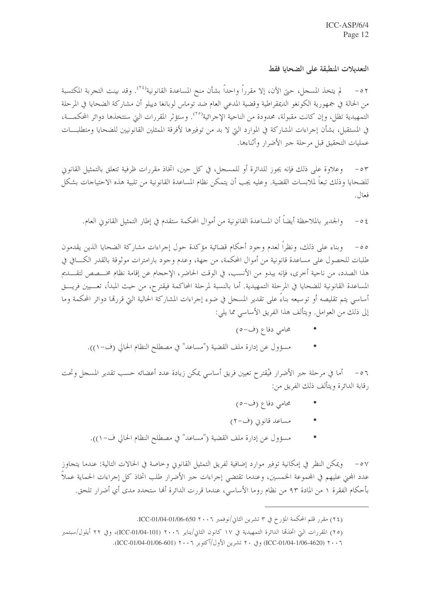#### التعديلات المنطبقة على الضحايا فقط

لم يتخذ المسجل، حتى الآن، إلا مقرراً واحداً بشأن منح المساعدة القانونية'```. وقد بينت التجربة المكتسبة  $- \circ \gamma$ من الحالة في جمهورية الكونغو الديمقراطية وقضية المدعي العام ضد توماس لوبانغا دييلو أن مشاركة الضحايا في المرحلة التمهيدية تظل، وإن كانت مقبولة، محدودة من الناحية الإجرائية<sup>(٢٥)</sup>. وستؤثر المقررات التي ستتخذها دوائر المحكمـــة، في المستقبل، بشأن إحراءات المشاركة في الموارد التي لا بد من توفيرها لأفرقة الممثلين القانونيين للضحايا ومتطلبـــات عمليات التحقيق قبل مرحلة جبر الأضرار وأثناءها.

وعلاوة على ذلك فإنه يجوز للدائرة أو للمسحل، في كل حين، اتخاذ مقررات ظرفية تتعلق بالتمثيل القانوين  $- \circ \tau$ للضحايا وذلك تبعاً لملابسات القضية. وعليه يجب أن يتمكن نظام المساعدة القانونية من تلبية هذه الاحتياحات بشكل فعال.

والجدير بالملاحظة أيضاً أن المساعدة القانونية من أموال المحكمة ستقدم في إطار التمثيل القانوين العام.  $- \circ \xi$ 

٥٥– وبناء على ذلك، ونظراً لعدم وجود أحكام قضائية مؤكدة حول إجراءات مشاركة الضحايا الذين يقدمون طلبات للحصول على مساعدة قانونية من أموال المحكمة، من جهة، وعدم وجود بارامترات موثوقة بالقدر الكـــافي في هذا الصدد، من ناحية أخرى، فإنه يبدو من الأنسب، في الوقت الحاضر، الإحجام عن إقامة نظام مخـــصص لتقـــديم المساعدة القانونية للضحايا في المرحلة التمهيدية. أما بالنسبة لمرحلة المحاكمة فيقترح، من حيث المبدأ، تعــــيين فريــــق أساسي يتم تقليصه أو توسيعه بناءً على تقدير المسجل في ضوء إجراءات المشاركة الحالية التي قررها دوائر المحكمة وما إلى ذلك من العوامل. ويتألف هذا الفريق الأساسي مما يلي:

- محامی دفاع (ف-٥)
- مسؤول عن إدارة ملف القضية ("مساعد" في مصطلح النظام الحالي (ف-١)).

٥٦ – أما في مرحلة جبر الأضرار فيُقترح تعيين فريق أساسي يمكن زيادة عدد أعضائه حسب تقدير المسجل وتحت رقابة الدائرة ويتألف ذلك الفريق من:

- محامی دفاع (ف-٥)
- مساعد قانوين (ف-٢)
- مسؤول عن إدارة ملف القضية ("مساعد" في مصطلح النظام الحالي ف-١)).  $\bullet$

٥٧ – ويمكن النظر في إمكانية توفير موارد إضافية لفريق التمثيل القانوين وخاصة في الحالات التالية: عندما يتجاوز عدد المحنى عليهم في المحموعة الحمسين، وعندما تقتضي إجراءات حبر الأضرار طلب اتخاذ كل إجراءات الحماية عملا بأحكام الفقرة ١ من المادة ٩٣ من نظام روما الأساسي، عندما قررت الدائرة ألها ستحدد مدى أي أضرار تلحق.

<sup>(</sup>٢٤) مقرر قلم المحكمة المؤرخ في ٣ تشرين الثاني/نوفمبر ٢٠٠٦ 650-01/04-01/06-050.

<sup>(</sup>٢٥) المقررات التي اتخذها الدائرة التمهيدية في ١٧ كانون الثاني/يناير ٢٠٠٦ (ICC-01/04-101)، وفي ٢٢ أيلول/سبتمبر

٢٠٠٦ (200-1/06-4620) (في ٢٠ تشرين الأول/أكتوبر ٢٠٠٦ (06-106-1104-1/06).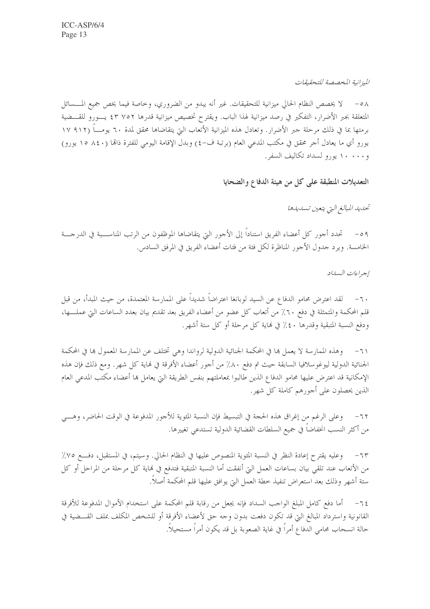الميزانية المخصصة للتحقيقات

٥٨ – لا يخصص النظام الحالي ميزانية للتحقيقات. غير أنه يبدو من الضروري، وخاصة فيما يخص جميع المـــسائل المتعلقة بجبر الأضرار، التفكير في رصد ميزانية لهذا الباب. ويقترح تخصيص ميزانية قدرها ٢٥٢ ٤٣ يـــورو للقــــضية برمتها بما في ذلك مرحلة حبر الأضرار. وتعادل هذه الميزانية الأتعاب التي يتقاضاها محقق لمدة ٦٠ يومـــا (٩١٢ ١٧ يورو أي ما يعادل أحر محقق في مكتب المدعي العام (برتبة ف-٤) وبدل الإقامة اليومي للفترة ذاتما (٨٤٠ ١٥ يورو) و ۱۰۰۰۰ یورو لسداد تکالیف السفر .

التعديلات المنطبقة على كل من هيئة الدفاع والضحايا

تحديد المبالغ التي يتعين تسديدها

تحدد أحور كل أعضاء الفريق استناداً إلى الأحور التي يتقاضاها الموظفون من الرتب المناســـبة في الدرجـــة  $-09$ الخامسة. ويرد جدول الأجور المناظرة لكلِّ فئة من فئات أعضاء الفريق في المرفق السادس.

إجراءات السداد

٦٠ – لقد اعترض محامو الدفاع عن السيد لوبانغا اعتراضاً شديداً على الممارسة المعتمدة، من حيث المبدأ، من قبل قلم المحكمة والمتمثلة في دفع ٦٠٪ من أتعاب كل عضو من أعضاء الفريق بعد تقديم بيان بعدد الساعات التي عملـــها، ودفع النسبة المتبقية وقدرها ٤٠٪ في لهاية كل مرحلة أو كل ستة أشهر.

وهذه الممارسة لا يعمل ها في المحكمة الجنائية الدولية لرواندا وهي تختلف عن الممارسة المعمول ها في المحكمة  $-7)$ الجنائية الدولية ليوغوسلافيا السابقة حيث تم دفع ٨٠٪ من أحور أعضاء الأفرقة في نماية كل شهر. ومع ذلك فإن هذه الإمكانية قد اعترض عليها محامو الدفاع الذين طالبوا بمعاملتهم بنفس الطريقة التي يعامل ها أعضاء مكتب المدعى العام الذين يحصلون على أجورهم كاملة كل شهر.

وعلى الرغم من إغراق هذه الحجة في التبسيط فإن النسبة المئوية للأجور المدفوعة في الوقت الحاضر، وهـــي  $-77$ من أكثر النسب انخفاضا في جميع السلطات القضائية الدولية تستدعى تغييرها.

٦٣– وعليه يقترح إعادة النظر في النسبة المثوية المنصوص عليها في النظام الحالي. وسيتم، في المستقبل، دفع ٧٥٪ من الأتعاب عند تلقي بيان بساعات العمل التي أنفقت أما النسبة المتبقية فتدفع في لهاية كل مرحلة من المراحل أو كل ستة أشهر وذلك بعد استعراض تنفيذ حطة العمل التي يوافق عليها قلم المحكمة أصلا.

٦٤− أما دفع كامل المبلغ الواحب السداد فإنه يجعل من رقابة قلم المحكمة على استخدام الأموال المدفوعة للأفرقة القانونية واسترداد المبالغ التي قد تكون دفعت بدون وحه حق لأعضاء الأفرقة أو للشخص المكلف بملف القـــضية في حالة انسحاب محامي الدفاع أمراً في غاية الصعوبة بل قد يكون أمراً مستحيلاً.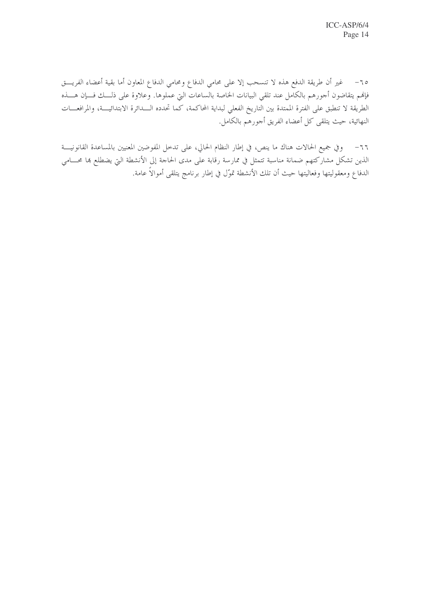٦٥− غير أن طريقة الدفع هذه لا تنسحب إلا على محامى الدفاع ومحامى الدفاع المعاون أما بقية أعضاء الفريـــق فإلهم يتقاضون أجورهم بالكامل عند تلقى البيانات الخاصة بالساعات التي عملوها. وعلاوة على ذلــك فـــإن هــــذه الطريقة لا تنطبق على الفترة الممتدة بين التاريخ الفعلي لبداية المحاكمة، كما تحدده السدائرة الابتدائيـــة، والمرافعـــات النهائية، حيث يتلقى كل أعضاء الفريق أحورهم بالكامل.

٦٦– وفي جميع الحالات هناك ما ينص، في إطار النظام الحالي، على تدخل المفوضين المعنيين بالمساعدة القانونيـــة الذين تشكل مشاركتهم ضمانة مناسبة تتمثل في ممارسة رقابة على مدى الحاجة إلى الأنشطة التي يضطلع بما محـــامي الدفاع ومعقوليتها وفعاليتها حيث أن تلك الأنشطة تموّل في إطار برنامج يتلقى أموالاً عامة.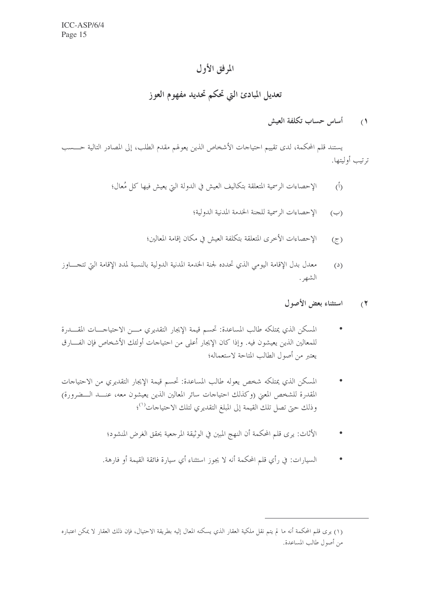### المرفق الأول

#### تعديل المبادئ التي تحكم تحديد مفهوم العوز

#### أساس حساب تكلفة العيش  $\alpha$

يستند قلم المحكمة، لدى تقييم احتياحات الأشخاص الذين يعولهم مقدم الطلب، إلى المصادر التالية حـــــسب ترتيب أوليتها.

- الإحصاءات الرسمية المتعلقة بتكاليف العيش في الدولة التي يعيش فيها كل مُعال؛  $\binom{5}{1}$ 
	- الإحصاءات الرسمية للجنة الخدمة المدنية الدولية؛  $(\hookrightarrow)$
	- الإحصاءات الأخرى المتعلقة بتكلفة العيش في مكان إقامة المعالين؛  $(5)$
- معدل بدل الإقامة اليومي الذي تحدده لجنة الحدمة المدنية الدولية بالنسبة لمدد الإقامة التي تتجــــاوز  $(2)$ الشهر .
	- استثناء بعض الأصول  $\mathcal{L}$
- المسكن الذي يمتلكه طالب المساعدة: تحسم قيمة الإيجار التقديري مـــن الاحتياجــــات المقـــــدرة  $\bullet$ للمعالين الذين يعيشون فيه. وإذا كان الإيجار أعلى من احتياجات أولئك الأشخاص فإن الفـــارق يعتبر من أصول الطالب المتاحة لاستعماله؛
- المسكن الذي يمتلكه شخص يعوله طالب المساعدة: تحسم قيمة الإيجار التقديري من الاحتياحات المقدرة للشخص المعنى (وكذلك احتياجات سائر المعالين الذين يعيشون معه، عنــد الــضرورة) وذلك حتى تصل تلك القيمة إلى المبلغ التقديري لتلك الاحتياحات<sup>(١)</sup>؛
	- الأثاث: يرى قلم المحكمة أن النهج المبين في الوثيقة المرجعية يحقق الغرض المنشود؛  $\bullet$
	- السيارات: في رأي قلم المحكمة أنه لا يجوز استثناء أي سيارة فائقة القيمة أو فارهة.  $\bullet$

<sup>(</sup>١) يرى قلم المحكمة أنه ما لم يتم نقل ملكية العقار الذي يسكنه المعال إليه بطريقة الاحتيال، فإن ذلك العقار لا يمكن اعتباره من أصول طالب المساعدة.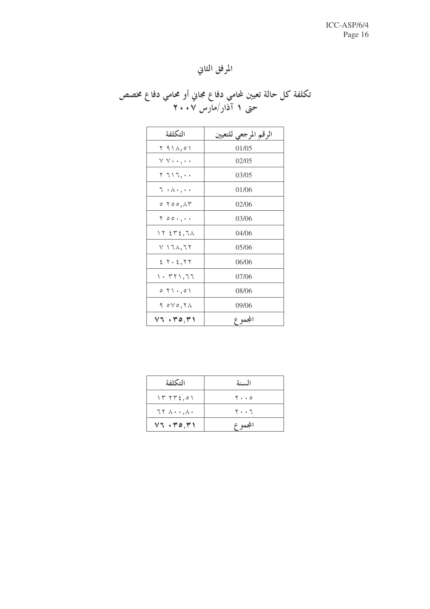# المرفق الثاني

# تکلفة کل حالة تعيين لمحامي دفاع مجاني أو محامي دفاع مخصص<br>حتى ١ آذار/مارس ٢٠٠٧

| التكلفة                                          | الرقم المرجعي للتعيين |
|--------------------------------------------------|-----------------------|
| $\uparrow$ ۹۱۸,۰۱                                | 01/05                 |
| $\vee \vee \cdot \cdot \cdot, \cdot \cdot$       | 02/05                 |
| ۲ ٦١٦,٠٠                                         | 03/05                 |
| $\tau \cdot \wedge \cdot \cdot \cdot$            | 01/06                 |
| $\circ$ $\circ$ $\circ$ $\circ$ $\wedge$ $\circ$ | 02/06                 |
| 700.,                                            | 03/06                 |
| 17.572,71                                        | 04/06                 |
| V ۱ ٦ ٨ , ٦ ٢                                    | 05/06                 |
| 5.7.5, 7.7                                       | 06/06                 |
| $\backslash\cdot\tau$ ۲۱,۶۶                      | 07/06                 |
| $\circ$ $\uparrow \wedge$ , $\circ \wedge$       | 08/06                 |
| $9.0 \vee 0,7 \wedge$                            | 09/06                 |
| V1.470,71                                        | المجموع               |

| التكلفة                         | السنة                         |
|---------------------------------|-------------------------------|
| 1775,01                         | $\mathbf{y} \cdot \mathbf{z}$ |
| $77 \wedge \cdots \wedge \cdot$ | ٢٠٠٦                          |
| $VT - Y0, Y1$                   | المجموع                       |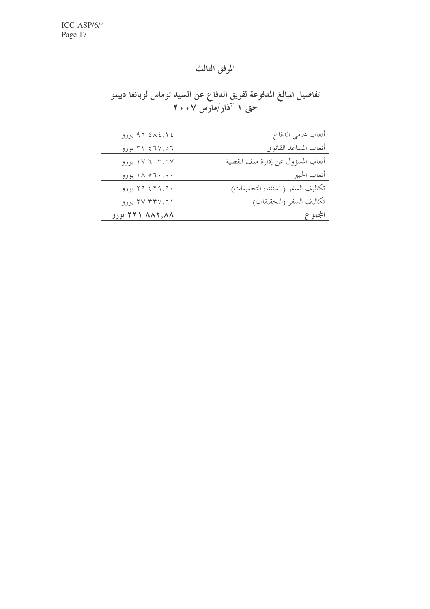# المرفق الثالث

# تفاصيل المبالغ المدفوعة لفريق الدفاع عن السيد توماس لوبانغا دييلو<br>حتى ١ آذار/مارس ٢٠٠٧

| ٩٦ ٤٨٤,١٤ يورو   | أتعاب محامى الدفاع                |
|------------------|-----------------------------------|
| ۳۲ ٤٦٧,٥٦ يورو   | أتعاب المساعد القانويي            |
| ۱۷ ته ۱۷ یورو    | أتعاب المسؤول عن إدارة ملف القضية |
| ۱۸ ۵۶۰,۰۰        | أتعاب الخبير                      |
| ۲۹ ٤٢٩,٩٠ يورو   | تكاليف السفر (باستثناء التحقيقات) |
| ۲۷ ۳۳۷, ۶۱ یورو  | تكاليف السفر (التحقيقات)          |
| ۸۸۲٬۸۸۸ ۲۲۱ یورو | المجموع                           |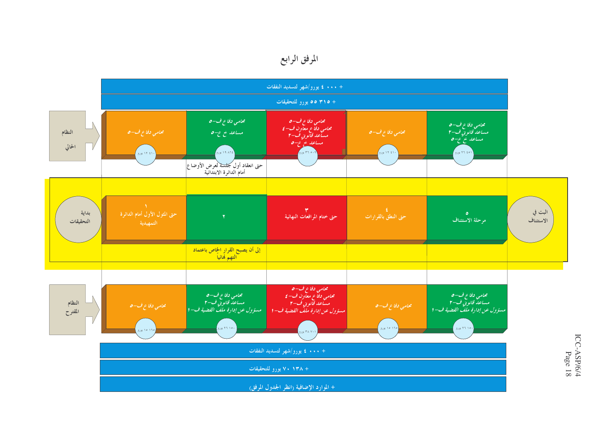# المرفق الرابع

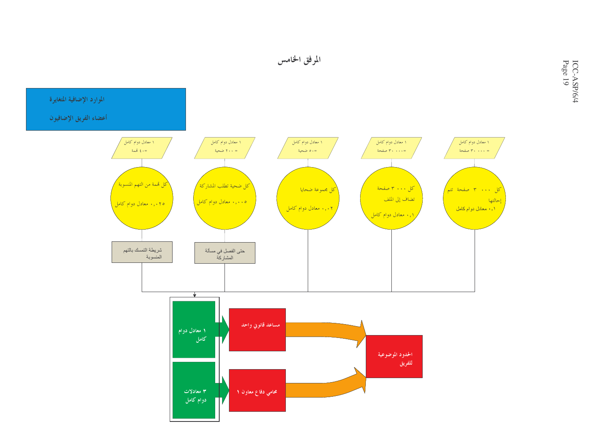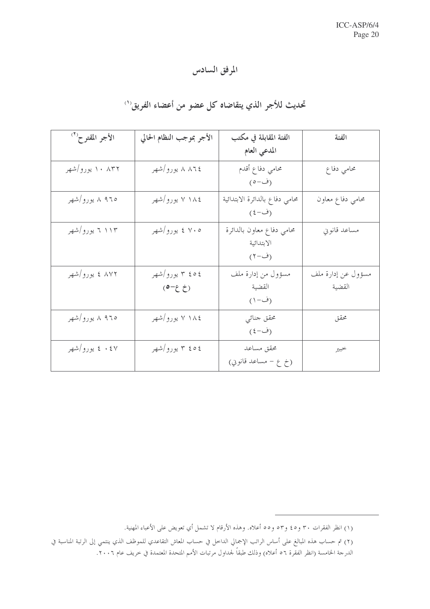# المرفق السادس

# تحديث للأجر الذي يتقاضاه كل عضو من أعضاء الفريق''

| الأجر المقترح <sup>(٢)</sup> | الأجر بموجب النظام الحالي    | الفئة المقابلة في مكتب                           | الفئة                        |
|------------------------------|------------------------------|--------------------------------------------------|------------------------------|
|                              |                              | المدعى العام                                     |                              |
| ۱۰ ۸۳۲ یورو/شهر              | ۸ ۸۶ یورو/شهر                | محامى دفاع أقدم<br>(ف-٥)                         | محامي دفاع                   |
| ۹٦٥ ٨ يورو/شهر               | ۷ ۱۸٤ يورو/شهر               | محامى دفاع بالدائرة الابتدائية<br>(ف-٤)          | محامى دفاع معاون             |
| ۱۱۳ تا یورو/شهر              | ۷۰۵ ٤ يورو/شهر               | محامي دفاع معاون بالدائرة<br>الابتدائية<br>(ف-۲) | مساعد قانويي                 |
| ۸۷۲ ٤ يورو/شهر               | ٢ ٥٤ ٣ يورو/شهر<br>$(5 - 2)$ | مسؤول من إدارة ملف<br>القضية<br>(ف−۱)            | مسؤول عن إدارة ملف<br>القضية |
| ۹۶۵ ۸ یورو/شهر               | ٧ ١٨٤ يورو/شهر               | محقق جنائي<br>$(\xi-\tilde{\Theta})$             | محقق                         |
| ٤٠٤٧ يورو/شهر                | ٢ ٥٤ ٣ يورو/شهر              | محقق مساعد<br>(خ ع – مساعد قانويي)               | خبير                         |

<sup>(</sup>١) انظر الفقرات ٣٠ و٤٥ و٥٣ و٥٥ أعلاه. وهذه الأرقام لا تشمل أي تعويض على الأعباء المهنية.

<sup>(</sup>٢) تم حساب هذه المبالغ على أساس الراتب الإجمالي الداخل في حساب المعاش التقاعدي للموظف الذي ينتمي إلى الرتبة المناسبة في

الدرجة الخامسة (انظر الفقرة ٥٦ أعلاه) وذلك طبقاً لجداول مرتبات الأمم المتحدة المعتمدة في خريف عام ٢٠٠٦.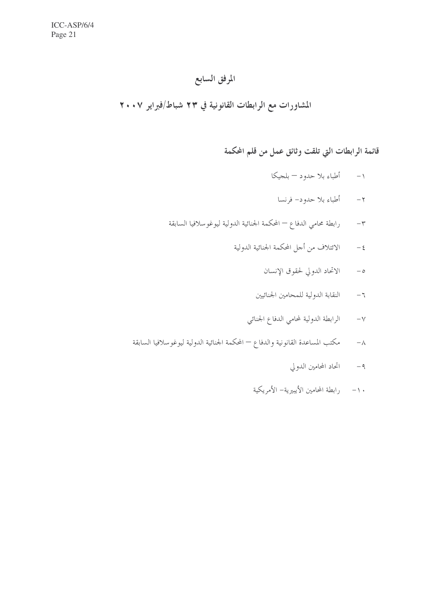### المرفق السابع

### المشاورات مع الرابطات القانونية في ٢٣ شباط/فبراير ٢٠٠٧

# قائمة الرابطات التي تلقت وثائق عمل من قلم المحكمة

- ١– أطباء بلا حدود بلجيكا
	- ٢– أطباء بلا حدود– فرنسا
- رابطة محامى الدفاع المحكمة الجنائية الدولية ليوغوسلافيا السابقة  $-\tau$ 
	- الائتلاف من أجل المحكمة الجنائية الدولية  $-\xi$ 
		- الاتحاد الدولي لحقوق الإنسان  $-\circ$
		- النقابة الدولية للمحامين الجنائيين  $-7$
		- الرابطة الدولية لمحامى الدفاع الجنائي  $-\vee$
- مكتب المساعدة القانونية والدفاع المحكمة الجنائية الدولية ليوغوسلافيا السابقة  $-\lambda$ 
	- ٩- اتحاد المحامين الدولي
	- ١٠− رابطة المحامين الأيبيرية− الأمريكية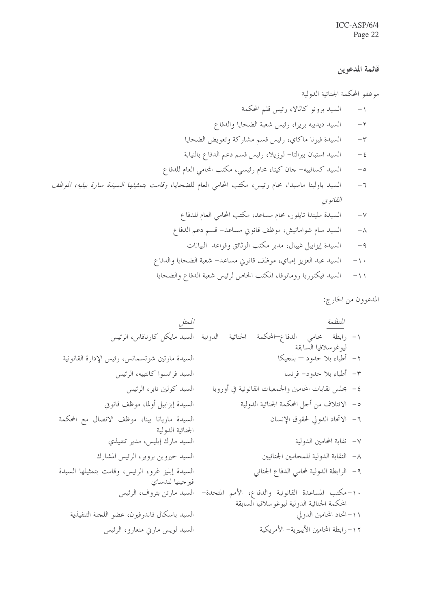#### قائمة المدعوين

موظفو المحكمة الجنائية الدولية السيد برونو كاثالا، رئيس قلم المحكمة  $-1$ السيد ديدييه بريرا، رئيس شعبة الضحايا والدفاع  $-\gamma$ السيدة فيونا ماكاي، رئيس قسم مشاركة وتعويض الضحايا  $-\tau$ السيد استبان بيرالتا– لوزيلا، رئيس قسم دعم الدفاع بالنيابة  $-\xi$ السيد كسافييه– حان كيتا، محام رئيسي، مكتب المحامي العام للدفاع  $-\circ$ السيد باولينا ماسيدا، محام رئيس، مكتب المحامي العام للضحايا، *وقامت بتمثيلها السيدة سارة بيليه، الموظف*  $-7$ القانويي السيدة مليندا تايلور، محام مساعد، مكتب المحامي العام للدفاع  $-\vee$ السيد سام شوامانيش، موظف قانوني مساعد– قسم دعم الدفاع  $-\lambda$ السيدة إيزابيل غيبال، مدير مكتب الوثائق وقواعد البيانات  $-9$ السيد عبد العزيز إمباي، موظف قانوين مساعد– شعبة الضحايا والدفاع  $-\wedge$ 

المدعوون من الخارج: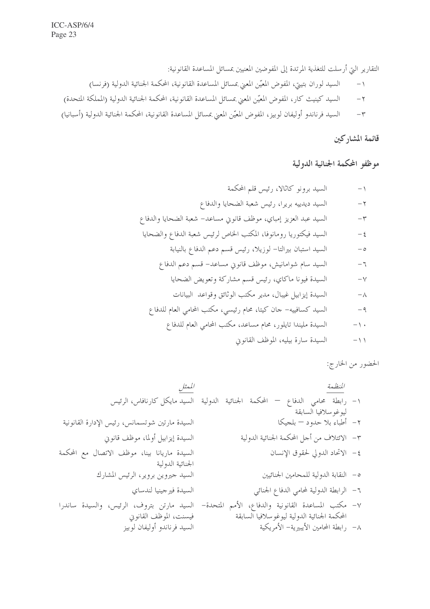٣– السيد فرناندو أوليفان لوبيز، المفوض المعيّن المعني بمسائل المساعدة القانونية، المحكمة الجنائية الدولية (أسبانيا)

# قائمة المشاركين

موظفو المحكمة الجنائية الدولية

الحضور من الخارج: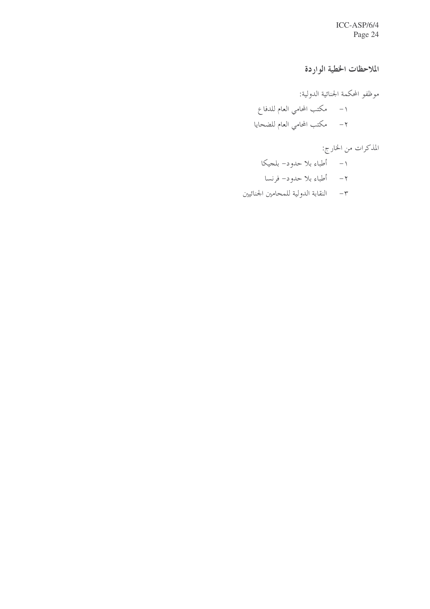ICC-ASP/6/4 Page 24

الملاحظات الخطية الواردة

موظفو المحكمة الجنائية الدولية: ١- مكتب المحامي العام للدفاع ٢- مكتب المحامى العام للضحايا

المذكرات من الخارج:

- ١– أطباء بلا حدود– بلحيكا
- ٢– أطباء بلا حدود– فرنسا
- ٣- النقابة الدولية للمحامين الجنائيين